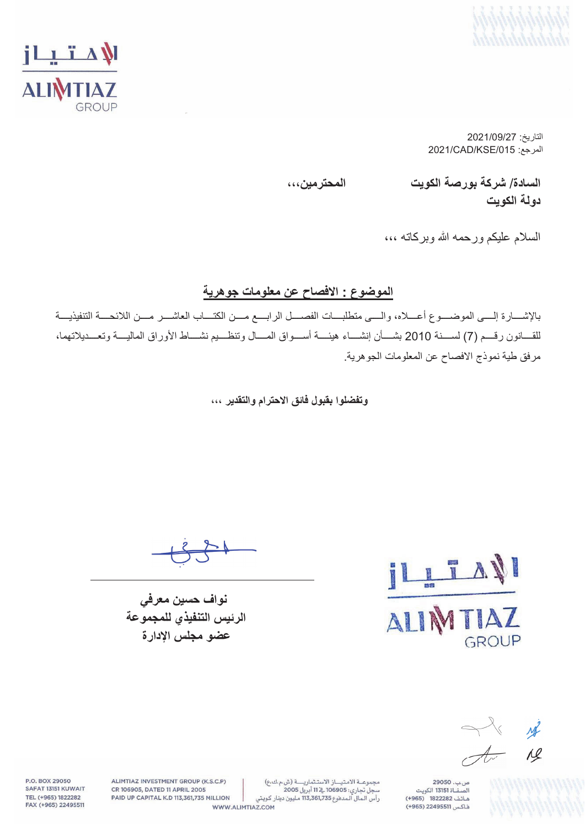



التاریخ: 2021/09/27 2021/CAD/KSE/015 :المرجع

**السادة**/ **شركة بورصة الكویت المحترمین،،، دولة الكویت**

السلام علیكم ورحمھ الله وبركاتھ ،،،

#### **الموضوع : الافصاح عن معلومات جوھریة**

بالإشــــارة إلــــى الموضــــوع أعــــلاه، والــــى متطلبــــات الفصــــل الرابــــع مــــن الكتــــاب العاشــــر مــــن اللائحــــة التنفیذیــــة للقــــانون رقــــم (7) لســــنة 2010 بشــــأن إنشــــاء ھیئــــة أســــواق المــــال وتنظــــیم نشــــاط الأوراق المالیــــة وتعــــدیلاتھما، مرفق طیة نموذج الافصاح عن المعلومات الجوھریة.

**وتفضلوا بقبول فائق الاحترام والتقدیر ،،،**

 **نواف حسین معرفي الرئیس التنفیذي للمجموعة عضو مجلس الإدارة**



ng  $\overline{\mathcal{A}^{\mathcal{F}}}$  $A$ 

ص ب. 29050 .<br>الصفــاة 13151 الكويت هاتف 1822282 (+965) فاكس 22495511 (965+)

ALIMTIAZ INVESTMENT GROUP (K.S.C.P) CR 106905, DATED 11 APRIL 2005 PAID UP CAPITAL K.D 113,361,735 MILLION

P.O. BOX 29050

SAFAT 13151 KUWAIT

TEL (+965) 1822282

FAX (+965) 22495511

مجموعة الامتياز الاستثمارية (ش.م.ك.ع) سجل تجاري: 106905 في 11 أبريل 2005 رأس الـمال الـمدفوع 113,361,735 مليون دينار كـويتي

WWW.ALIMTIAZ.COM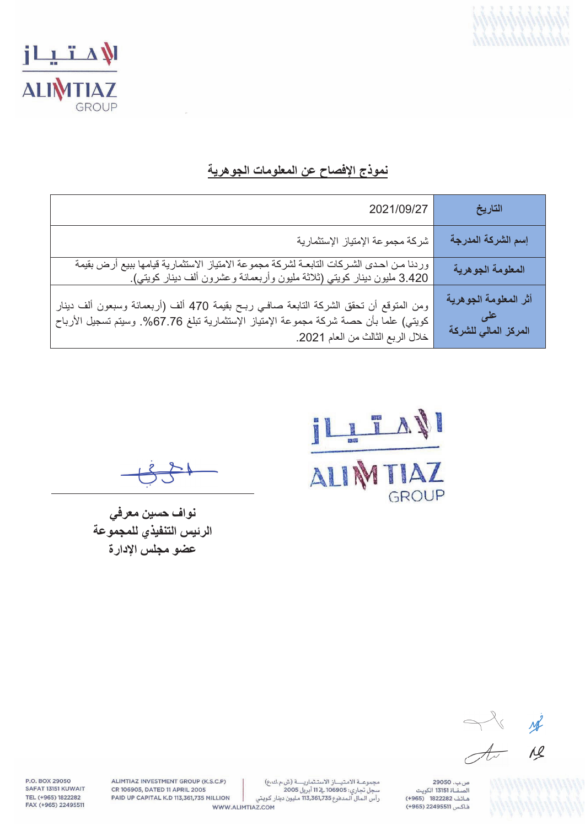



## نموذج الإفصاح عن المعلومات الجوهرية

| 2021/09/27                                                                                                                                                                                                             | التاريخ                                       |
|------------------------------------------------------------------------------------------------------------------------------------------------------------------------------------------------------------------------|-----------------------------------------------|
| شركة مجموعة الإمتياز الإستثمارية                                                                                                                                                                                       | إسم الشركة المدرجة                            |
| وردنا مـن احـدى الشـركات التابعــة لشركـة مجموعة الامتياز الاستثماريـة قيامـها ببيع أرض بقيمة<br>3.420 مليون دينار كويتي (ثلاثـة مليون وأربعمائـة وعشرون ألف دينار كويتي).                                             | المعلومة الجوهرية                             |
| ومن المتوقع أن تحقق الشركة التابعة صافـي ربـح بقيمة 470 ألف (أربعمائة وسبعون ألف دينار<br>كويتـي) علما بأن حصـة شركة مجموعة الإمتياز الإستثماريـة تبلغ 67.76%. وسيتم تسجيل الأرباح<br>خلال الربع الثالث من العام 2021. | أثر المعلومة الجوهرية<br>المركز المالي للشركة |

ILL TAN GROUP

نواف حسين معرفي الرئيس التنفيذي للمجموعة عضو مجلس الإدارة

 $M$  $\frac{1}{\sqrt{1-x^2}}$  $\overline{M}$ 

ص ب. 29050 .<br>الصفــاة 13151 الكويت هاتف 1822282 (+965) فاكس 22495511 (965+)

ALIMTIAZ INVESTMENT GROUP (K.S.C.P) CR 106905, DATED 11 APRIL 2005 PAID UP CAPITAL K.D 113,361,735 MILLION

P.O. BOX 29050

SAFAT 13151 KUWAIT

TEL (+965) 1822282

FAX (+965) 22495511

مجموعة الامتياز الاستثمارية (ش م ك ع) سبسوست - مسيسار - «<br>سجل تجاري: 106905 \_2 11 أبريل 2005<br>رأس الـمال الـمدفوع 113,361,735 مليون دينار كـويـتي

WWW.ALIMTIAZ.COM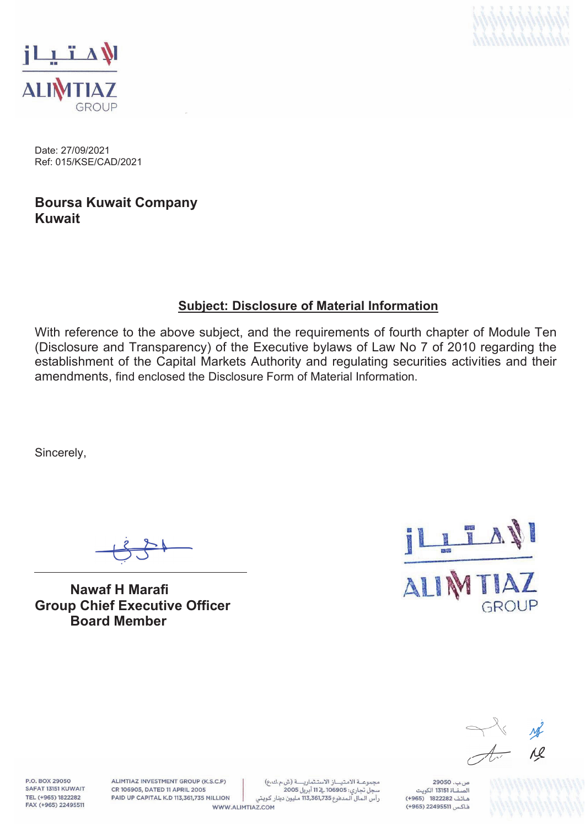



Date: 27/09/2021 Ref: 015/KSE/CAD/2021

### **Boursa Kuwait Company Kuwait**

## **Subject: Disclosure of Material Information**

With reference to the above subject, and the requirements of fourth chapter of Module Ten (Disclosure and Transparency) of the Executive bylaws of Law No 7 of 2010 regarding the establishment of the Capital Markets Authority and regulating securities activities and their amendments, find enclosed the Disclosure Form of Material Information.

Sincerely,

**Nawaf H Marafi Group Chief Executive Officer Board Member** 



 $\overline{M}$ 

P.O. BOX 29050 SAFAT 13151 KUWAIT TEL (+965) 1822282 FAX (+965) 22495511

ALIMTIAZ INVESTMENT GROUP (K.S.C.P) CR 106905, DATED 11 APRIL 2005 PAID UP CAPITAL K.D 113,361,735 MILLION

مجموعة الامتياز الاستثمارية (ش.م.ك.ع) سجل تجاري: 106905 في 11 أبريل 2005 رأس الـمال الـمدفوع 113,361,735 مـليون دينار كـويتي WWW.ALIMTIAZ.COM

ص ب. 29050 .<br>الصفــاة 13151 الكويت هاتف 1822282 (965+) فاكس 22495511 (965+)